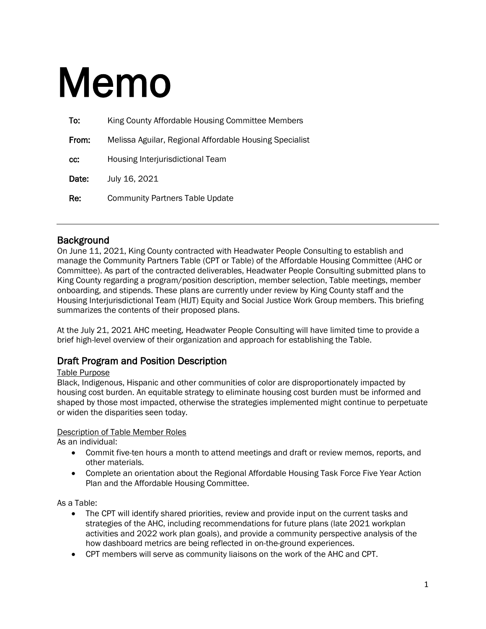# Memo

| To:   | King County Affordable Housing Committee Members        |
|-------|---------------------------------------------------------|
| From: | Melissa Aguilar, Regional Affordable Housing Specialist |
| CC.   | <b>Housing Interjurisdictional Team</b>                 |
| Date: | July 16, 2021                                           |
| Re:   | <b>Community Partners Table Update</b>                  |

Background<br>On June 11, 2021, King County contracted with Headwater People Consulting to establish and manage the Community Partners Table (CPT or Table) of the Affordable Housing Committee (AHC or Committee). As part of the contracted deliverables, Headwater People Consulting submitted plans to King County regarding a program/position description, member selection, Table meetings, member onboarding, and stipends. These plans are currently under review by King County staff and the Housing Interjurisdictional Team (HIJT) Equity and Social Justice Work Group members. This briefing summarizes the contents of their proposed plans.

At the July 21, 2021 AHC meeting, Headwater People Consulting will have limited time to provide a brief high-level overview of their organization and approach for establishing the Table.

### Draft Program and Position Description

#### Table Purpose

Black, Indigenous, Hispanic and other communities of color are disproportionately impacted by housing cost burden. An equitable strategy to eliminate housing cost burden must be informed and shaped by those most impacted, otherwise the strategies implemented might continue to perpetuate or widen the disparities seen today.

#### Description of Table Member Roles

As an individual:

- Commit five-ten hours a month to attend meetings and draft or review memos, reports, and other materials.
- Complete an orientation about the [Regional Affordable Housing Task Force Five Year Action](https://www.kingcounty.gov/depts/community-human-services/housing/%7E/media/depts/community-human-services/housing-homelessness-community-development/documents/affordable-housing-committee/RAH_Report_Print_File_Updated_10,-d-,28,-d-,19.ashx?la=en)  [Plan](https://www.kingcounty.gov/depts/community-human-services/housing/%7E/media/depts/community-human-services/housing-homelessness-community-development/documents/affordable-housing-committee/RAH_Report_Print_File_Updated_10,-d-,28,-d-,19.ashx?la=en) and the Affordable Housing Committee.

As a Table:

- The CPT will identify shared priorities, review and provide input on the current tasks and strategies of the AHC, including recommendations for future plans (late 2021 workplan activities and 2022 work plan goals), and provide a community perspective analysis of the how dashboard metrics are being reflected in on-the-ground experiences.
- CPT members will serve as community liaisons on the work of the AHC and CPT.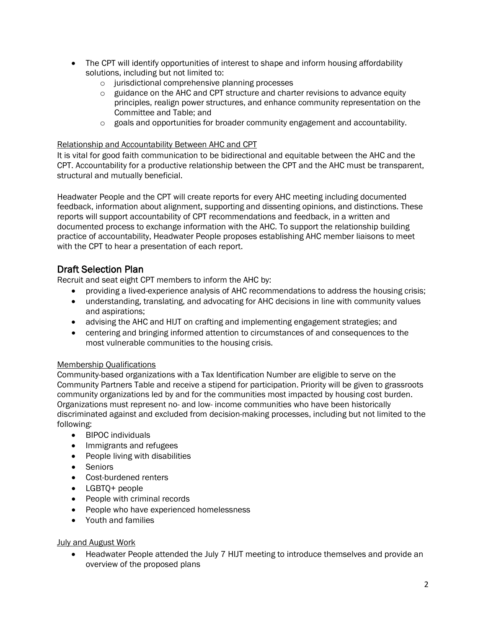- The CPT will identify opportunities of interest to shape and inform housing affordability solutions, including but not limited to:
	- o jurisdictional comprehensive planning processes
	- $\circ$  guidance on the AHC and CPT structure and charter revisions to advance equity principles, realign power structures, and enhance community representation on the Committee and Table; and
	- $\circ$  goals and opportunities for broader community engagement and accountability.

#### Relationship and Accountability Between AHC and CPT

It is vital for good faith communication to be bidirectional and equitable between the AHC and the CPT. Accountability for a productive relationship between the CPT and the AHC must be transparent, structural and mutually beneficial.

Headwater People and the CPT will create reports for every AHC meeting including documented feedback, information about alignment, supporting and dissenting opinions, and distinctions. These reports will support accountability of CPT recommendations and feedback, in a written and documented process to exchange information with the AHC. To support the relationship building practice of accountability, Headwater People proposes establishing AHC member liaisons to meet with the CPT to hear a presentation of each report.

# Draft Selection Plan

Recruit and seat eight CPT members to inform the AHC by:

- providing a lived-experience analysis of AHC recommendations to address the housing crisis;
- understanding, translating, and advocating for AHC decisions in line with community values and aspirations;
- advising the AHC and HIJT on crafting and implementing engagement strategies; and
- centering and bringing informed attention to circumstances of and consequences to the most vulnerable communities to the housing crisis.

#### Membership Qualifications

Community-based organizations with a Tax Identification Number are eligible to serve on the Community Partners Table and receive a stipend for participation. Priority will be given to grassroots community organizations led by and for the communities most impacted by housing cost burden. Organizations must represent no- and low- income communities who have been historically discriminated against and excluded from decision-making processes, including but not limited to the following:

- BIPOC individuals
- Immigrants and refugees
- People living with disabilities
- Seniors
- Cost-burdened renters
- LGBTQ+ people
- People with criminal records
- People who have experienced homelessness
- Youth and families

#### July and August Work

• Headwater People attended the July 7 HIJT meeting to introduce themselves and provide an overview of the proposed plans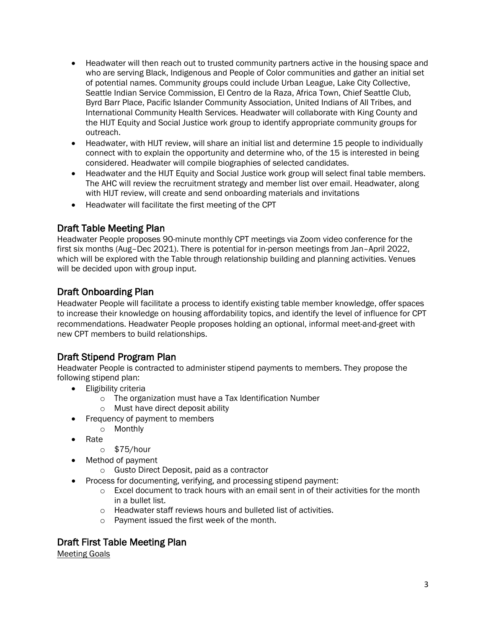- Headwater will then reach out to trusted community partners active in the housing space and who are serving Black, Indigenous and People of Color communities and gather an initial set of potential names. Community groups could include Urban League, Lake City Collective, Seattle Indian Service Commission, El Centro de la Raza, Africa Town, Chief Seattle Club, Byrd Barr Place, Pacific Islander Community Association, United Indians of All Tribes, and International Community Health Services. Headwater will collaborate with King County and the HIJT Equity and Social Justice work group to identify appropriate community groups for outreach.
- Headwater, with HIJT review, will share an initial list and determine 15 people to individually connect with to explain the opportunity and determine who, of the 15 is interested in being considered. Headwater will compile biographies of selected candidates.
- Headwater and the HIJT Equity and Social Justice work group will select final table members. The AHC will review the recruitment strategy and member list over email. Headwater, along with HIJT review, will create and send onboarding materials and invitations
- Headwater will facilitate the first meeting of the CPT

# Draft Table Meeting Plan

Headwater People proposes 90-minute monthly CPT meetings via Zoom video conference for the first six months (Aug–Dec 2021). There is potential for in-person meetings from Jan–April 2022, which will be explored with the Table through relationship building and planning activities. Venues will be decided upon with group input.

# Draft Onboarding Plan

Headwater People will facilitate a process to identify existing table member knowledge, offer spaces to increase their knowledge on housing affordability topics, and identify the level of influence for CPT recommendations. Headwater People proposes holding an optional, informal meet-and-greet with new CPT members to build relationships.

# Draft Stipend Program Plan

Headwater People is contracted to administer stipend payments to members. They propose the following stipend plan:

- Eligibility criteria
	- o The organization must have a Tax Identification Number
	- o Must have direct deposit ability
- Frequency of payment to members
	- o Monthly
- Rate
	- o \$75/hour
- Method of payment
	- o Gusto Direct Deposit, paid as a contractor
	- Process for documenting, verifying, and processing stipend payment:
		- o Excel document to track hours with an email sent in of their activities for the month in a bullet list.
		- o Headwater staff reviews hours and bulleted list of activities.<br>  $\circ$  Payment issued the first week of the month.
		- Payment issued the first week of the month.

# Draft First Table Meeting Plan

Meeting Goals